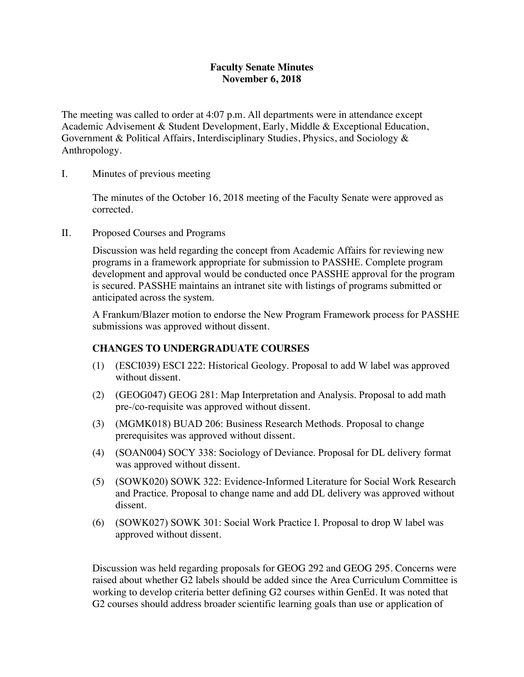## **Faculty Senate Minutes November 6, 2018**

The meeting was called to order at 4:07 p.m. All departments were in attendance except Academic Advisement & Student Development, Early, Middle & Exceptional Education, Government & Political Affairs, Interdisciplinary Studies, Physics, and Sociology & Anthropology.

I. Minutes of previous meeting

The minutes of the October 16, 2018 meeting of the Faculty Senate were approved as corrected.

II. Proposed Courses and Programs

Discussion was held regarding the concept from Academic Affairs for reviewing new programs in a framework appropriate for submission to PASSHE. Complete program development and approval would be conducted once PASSHE approval for the program is secured. PASSHE maintains an intranet site with listings of programs submitted or anticipated across the system.

A Frankum/Blazer motion to endorse the New Program Framework process for PASSHE submissions was approved without dissent.

# **CHANGES TO UNDERGRADUATE COURSES**

- (1) (ESCI039) ESCI 222: Historical Geology. Proposal to add W label was approved without dissent.
- (2) (GEOG047) GEOG 281: Map Interpretation and Analysis. Proposal to add math pre-/co-requisite was approved without dissent.
- (3) (MGMK018) BUAD 206: Business Research Methods. Proposal to change prerequisites was approved without dissent.
- (4) (SOAN004) SOCY 338: Sociology of Deviance. Proposal for DL delivery format was approved without dissent.
- (5) (SOWK020) SOWK 322: Evidence-Informed Literature for Social Work Research and Practice. Proposal to change name and add DL delivery was approved without dissent.
- (6) (SOWK027) SOWK 301: Social Work Practice I. Proposal to drop W label was approved without dissent.

Discussion was held regarding proposals for GEOG 292 and GEOG 295. Concerns were raised about whether G2 labels should be added since the Area Curriculum Committee is working to develop criteria better defining G2 courses within GenEd. It was noted that G2 courses should address broader scientific learning goals than use or application of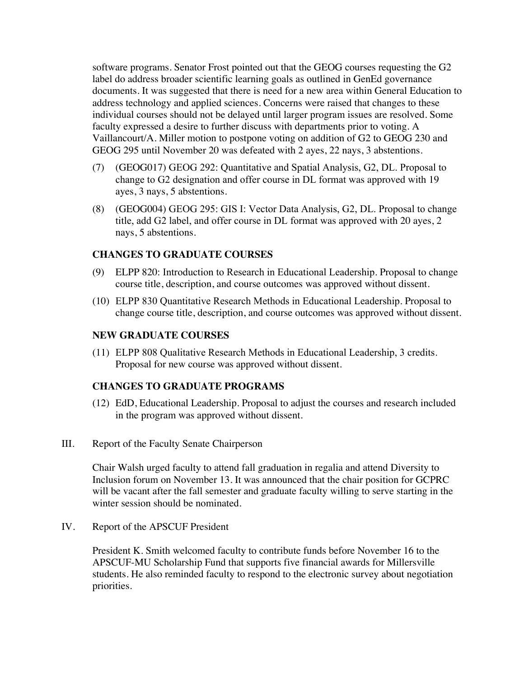software programs. Senator Frost pointed out that the GEOG courses requesting the G2 label do address broader scientific learning goals as outlined in GenEd governance documents. It was suggested that there is need for a new area within General Education to address technology and applied sciences. Concerns were raised that changes to these individual courses should not be delayed until larger program issues are resolved. Some faculty expressed a desire to further discuss with departments prior to voting. A Vaillancourt/A. Miller motion to postpone voting on addition of G2 to GEOG 230 and GEOG 295 until November 20 was defeated with 2 ayes, 22 nays, 3 abstentions.

- (7) (GEOG017) GEOG 292: Quantitative and Spatial Analysis, G2, DL. Proposal to change to G2 designation and offer course in DL format was approved with 19 ayes, 3 nays, 5 abstentions.
- (8) (GEOG004) GEOG 295: GIS I: Vector Data Analysis, G2, DL. Proposal to change title, add G2 label, and offer course in DL format was approved with 20 ayes, 2 nays, 5 abstentions.

## **CHANGES TO GRADUATE COURSES**

- (9) ELPP 820: Introduction to Research in Educational Leadership. Proposal to change course title, description, and course outcomes was approved without dissent.
- (10) ELPP 830 Quantitative Research Methods in Educational Leadership. Proposal to change course title, description, and course outcomes was approved without dissent.

### **NEW GRADUATE COURSES**

(11) ELPP 808 Qualitative Research Methods in Educational Leadership, 3 credits. Proposal for new course was approved without dissent.

## **CHANGES TO GRADUATE PROGRAMS**

- (12) EdD, Educational Leadership. Proposal to adjust the courses and research included in the program was approved without dissent.
- III. Report of the Faculty Senate Chairperson

Chair Walsh urged faculty to attend fall graduation in regalia and attend Diversity to Inclusion forum on November 13. It was announced that the chair position for GCPRC will be vacant after the fall semester and graduate faculty willing to serve starting in the winter session should be nominated.

IV. Report of the APSCUF President

President K. Smith welcomed faculty to contribute funds before November 16 to the APSCUF-MU Scholarship Fund that supports five financial awards for Millersville students. He also reminded faculty to respond to the electronic survey about negotiation priorities.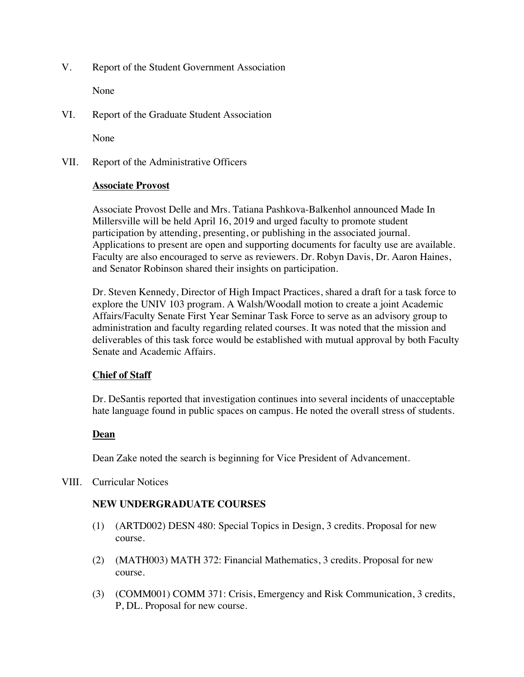V. Report of the Student Government Association

None

VI. Report of the Graduate Student Association

None

VII. Report of the Administrative Officers

#### **Associate Provost**

Associate Provost Delle and Mrs. Tatiana Pashkova-Balkenhol announced Made In Millersville will be held April 16, 2019 and urged faculty to promote student participation by attending, presenting, or publishing in the associated journal. Applications to present are open and supporting documents for faculty use are available. Faculty are also encouraged to serve as reviewers. Dr. Robyn Davis, Dr. Aaron Haines, and Senator Robinson shared their insights on participation.

Dr. Steven Kennedy, Director of High Impact Practices, shared a draft for a task force to explore the UNIV 103 program. A Walsh/Woodall motion to create a joint Academic Affairs/Faculty Senate First Year Seminar Task Force to serve as an advisory group to administration and faculty regarding related courses. It was noted that the mission and deliverables of this task force would be established with mutual approval by both Faculty Senate and Academic Affairs.

#### **Chief of Staff**

Dr. DeSantis reported that investigation continues into several incidents of unacceptable hate language found in public spaces on campus. He noted the overall stress of students.

#### **Dean**

Dean Zake noted the search is beginning for Vice President of Advancement.

VIII. Curricular Notices

## **NEW UNDERGRADUATE COURSES**

- (1) (ARTD002) DESN 480: Special Topics in Design, 3 credits. Proposal for new course.
- (2) (MATH003) MATH 372: Financial Mathematics, 3 credits. Proposal for new course.
- (3) (COMM001) COMM 371: Crisis, Emergency and Risk Communication, 3 credits, P, DL. Proposal for new course.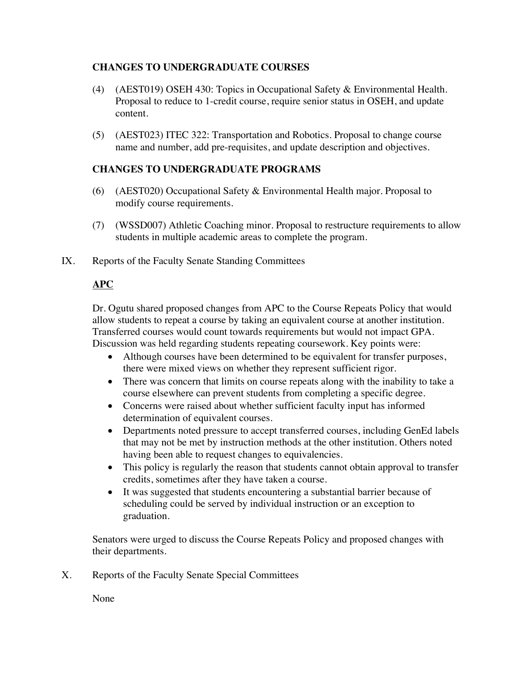### **CHANGES TO UNDERGRADUATE COURSES**

- (4) (AEST019) OSEH 430: Topics in Occupational Safety & Environmental Health. Proposal to reduce to 1-credit course, require senior status in OSEH, and update content.
- (5) (AEST023) ITEC 322: Transportation and Robotics. Proposal to change course name and number, add pre-requisites, and update description and objectives.

## **CHANGES TO UNDERGRADUATE PROGRAMS**

- (6) (AEST020) Occupational Safety & Environmental Health major. Proposal to modify course requirements.
- (7) (WSSD007) Athletic Coaching minor. Proposal to restructure requirements to allow students in multiple academic areas to complete the program.
- IX. Reports of the Faculty Senate Standing Committees

# **APC**

Dr. Ogutu shared proposed changes from APC to the Course Repeats Policy that would allow students to repeat a course by taking an equivalent course at another institution. Transferred courses would count towards requirements but would not impact GPA. Discussion was held regarding students repeating coursework. Key points were:

- Although courses have been determined to be equivalent for transfer purposes, there were mixed views on whether they represent sufficient rigor.
- There was concern that limits on course repeats along with the inability to take a course elsewhere can prevent students from completing a specific degree.
- Concerns were raised about whether sufficient faculty input has informed determination of equivalent courses.
- Departments noted pressure to accept transferred courses, including GenEd labels that may not be met by instruction methods at the other institution. Others noted having been able to request changes to equivalencies.
- This policy is regularly the reason that students cannot obtain approval to transfer credits, sometimes after they have taken a course.
- It was suggested that students encountering a substantial barrier because of scheduling could be served by individual instruction or an exception to graduation.

Senators were urged to discuss the Course Repeats Policy and proposed changes with their departments.

X. Reports of the Faculty Senate Special Committees

None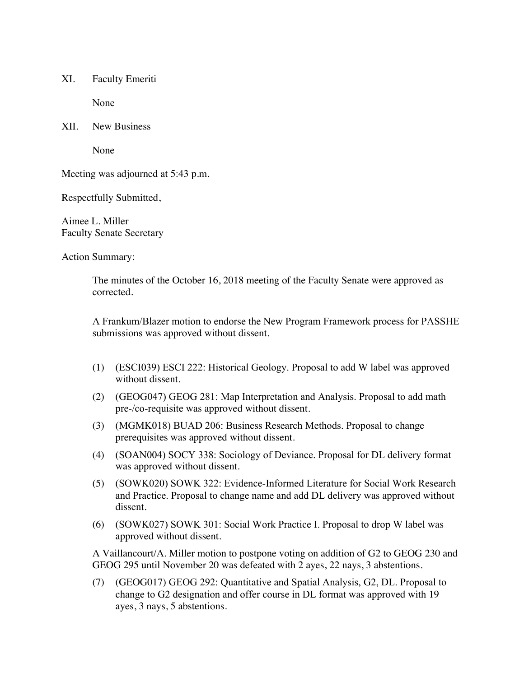#### XI. Faculty Emeriti

None

#### XII. New Business

None

Meeting was adjourned at 5:43 p.m.

Respectfully Submitted,

Aimee L. Miller Faculty Senate Secretary

Action Summary:

The minutes of the October 16, 2018 meeting of the Faculty Senate were approved as corrected.

A Frankum/Blazer motion to endorse the New Program Framework process for PASSHE submissions was approved without dissent.

- (1) (ESCI039) ESCI 222: Historical Geology. Proposal to add W label was approved without dissent.
- (2) (GEOG047) GEOG 281: Map Interpretation and Analysis. Proposal to add math pre-/co-requisite was approved without dissent.
- (3) (MGMK018) BUAD 206: Business Research Methods. Proposal to change prerequisites was approved without dissent.
- (4) (SOAN004) SOCY 338: Sociology of Deviance. Proposal for DL delivery format was approved without dissent.
- (5) (SOWK020) SOWK 322: Evidence-Informed Literature for Social Work Research and Practice. Proposal to change name and add DL delivery was approved without dissent.
- (6) (SOWK027) SOWK 301: Social Work Practice I. Proposal to drop W label was approved without dissent.

A Vaillancourt/A. Miller motion to postpone voting on addition of G2 to GEOG 230 and GEOG 295 until November 20 was defeated with 2 ayes, 22 nays, 3 abstentions.

(7) (GEOG017) GEOG 292: Quantitative and Spatial Analysis, G2, DL. Proposal to change to G2 designation and offer course in DL format was approved with 19 ayes, 3 nays, 5 abstentions.